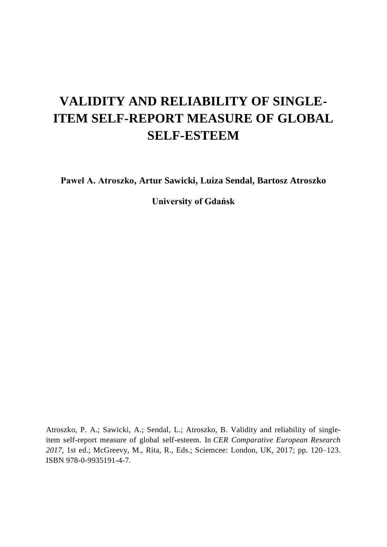# **VALIDITY AND RELIABILITY OF SINGLE-ITEM SELF-REPORT MEASURE OF GLOBAL SELF-ESTEEM**

**Paweł A. Atroszko, Artur Sawicki, Luiza Sendal, Bartosz Atroszko**

**University of Gdańsk**

Atroszko, P. A.; Sawicki, A.; Sendal, L.; Atroszko, B. Validity and reliability of singleitem self-report measure of global self-esteem. In *CER Comparative European Research 2017*, 1st ed.; McGreevy, M., Rita, R., Eds.; Sciemcee: London, UK, 2017; pp. 120–123. ISBN 978-0-9935191-4-7.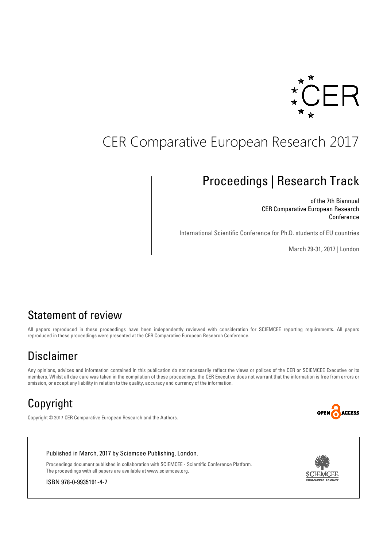

# CER Comparative European Research 2017

# Proceedings | Research Track

of the 7th Biannual CER Comparative European Research **Conference** 

International Scientific Conference for Ph.D. students of EU countries

March 29-31, 2017 | London

## Statement of review

All papers reproduced in these proceedings have been independently reviewed with consideration for SCIEMCEE reporting requirements. All papers reproduced in these proceedings were presented at the CER Comparative European Research Conference.

## Disclaimer

Any opinions, advices and information contained in this publication do not necessarily reflect the views or polices of the CER or SCIEMCEE Executive or its members. Whilst all due care was taken in the compilation of these proceedings, the CER Executive does not warrant that the information is free from errors or omission, or accept any liability in relation to the quality, accuracy and currency of the information.

# Copyright



Copyright © 2017 CER Comparative European Research and the Authors.





ISBN 978-0-9935191-4-7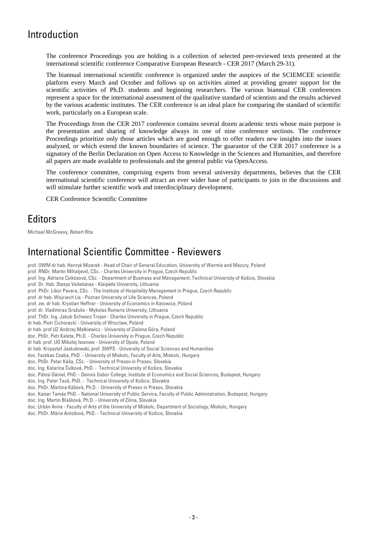## Introduction

The conference Proceedings you are holding is a collection of selected peer-reviewed texts presented at the international scientific conference Comparative European Research - CER 2017 (March 29-31).

The biannual international scientific conference is organized under the auspices of the SCIEMCEE scientific platform every March and October and follows up on activities aimed at providing greater support for the scientific activities of Ph.D. students and beginning researchers. The various biannual CER conferences represent a space for the international assessment of the qualitative standard of scientists and the results achieved by the various academic institutes. The CER conference is an ideal place for comparing the standard of scientific work, particularly on a European scale.

The Proceedings from the CER 2017 conference contains several dozen academic texts whose main purpose is the presentation and sharing of knowledge always in one of nine conference sections. The conference Proceedings prioritize only those articles which are good enough to offer readers new insights into the issues analyzed, or which extend the known boundaries of science. The guarantor of the CER 2017 conference is a signatory of the Berlin Declaration on Open Access to Knowledge in the Sciences and Humanities, and therefore all papers are made available to professionals and the general public via OpenAccess.

The conference committee, comprising experts from several university departments, believes that the CER international scientific conference will attract an ever wider base of participants to join in the discussions and will stimulate further scientific work and interdisciplinary development.

CER Conference Scientific Committee

### **Editors**

Michael McGreevy, Robert Rita

### International Scientific Committee - Reviewers

prof. UWM dr hab. Henryk Mizerek - Head of Chair of General Education, University of Warmia and Mazury, Poland prof. RNDr. Martin Mihaljevič, CSc. - Charles University in Prague, Czech Republic prof. Ing. Adriana Csikósová, CSc. - Department of Business and Management, Technical University of Košice, Slovakia prof. Dr. Hab. Stasys Vaitekūnas - Klaipėda University, Lithuania prof. PhDr. Libor Pavera, CSc. - The Institute of Hospitality Management in Prague, Czech Republic prof. dr hab. Wojciech Lis - Poznan University of Life Sciences, Poland prof. zw. dr hab. Krystian Heffner - University of Economics in Katowice, Poland prof. dr. Vladimiras Gražulis - Mykolas Romeris University, Lithuania prof. ThDr. Ing. Jakub Schwarz Trojan - Charles University in Prague, Czech Republic dr hab. Piotr Cichoracki - University of Wroclaw, Poland dr hab. prof UZ Andrzej Małkiewicz - University of Zielona Góra, Poland doc. PhDr. Petr Kaleta, Ph.D. - Charles University in Prague, Czech Republic dr hab. prof. UO Mikołaj Iwanow - University of Opole, Poland dr hab. Krzysztof Jaskułowski, prof. SWPS - University of Social Sciences and Humanities doc. Fazekas Csaba, PhD. - University of Miskolc, Faculty of Arts, Miskolc, Hungary doc. PhDr. Peter Káša, CSc. - University of Presov in Presov, Slovakia doc. Ing. Katarína Čulková, PhD. - Technical University of Košice, Slovakia doc. Pálosi Dániel, PhD. - Dennis Gabor College, Institute of Economics and Social Sciences, Budapest, Hungary doc. Ing. Peter Tauš, PhD. - Technical University of Košice, Slovakia doc. PhDr. Martina Kášová, Ph.D. - University of Presov in Presov, Slovakia doc. Kaiser Tamás PhD. - National University of Public Service, Faculty of Public Administration, Budapest, Hungary doc. Ing. Martin Blašková, Ph.D. - University of Zilina, Slovakia doc. Urbán Anna - Faculty of Arts of the University of Miskolc, Department of Sociology, Miskolc, Hungary doc. PhDr. Mária Antošová, PhD. - Technical University of Košice, Slovakia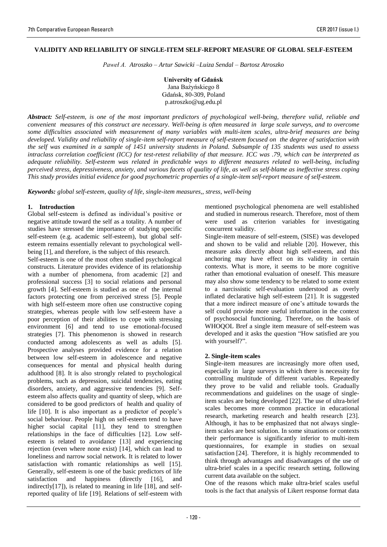#### **VALIDITY AND RELIABILITY OF SINGLE-ITEM SELF-REPORT MEASURE OF GLOBAL SELF-ESTEEM**

*Paweł A. Atroszko – Artur Sawicki –Luiza Sendal – Bartosz Atroszko* 

**University of Gdańsk** Jana Bażyńskiego 8 Gdańsk, 80-309, Poland p.atroszko@ug.edu.pl

*Abstract: Self-esteem, is one of the most important predictors of psychological well-being, therefore valid, reliable and convenient measures of this construct are necessary. Well-being is often measured in large scale surveys, and to overcome some difficulties associated with measurement of many variables with multi-item scales, ultra-brief measures are being developed. Validity and reliability of single-item self-report measure of self-esteem focused on the degree of satisfaction with the self was examined in a sample of 1451 university students in Poland. Subsample of 135 students was used to assess intraclass correlation coefficient (ICC) for test-retest reliability of that measure. ICC was .79, which can be interpreted as adequate reliability. Self-esteem was related in predictable ways to different measures related to well-being, including perceived stress, depressiveness, anxiety, and various facets of quality of life, as well as self-blame as ineffective stress coping This study provides initial evidence for good psychometric properties of a single-item self-report measure of self-esteem.* 

*Keywords: global self-esteem, quality of life, single-item measures,, stress, well-being*

#### **1. Introduction**

Global self-esteem is defined as individual's positive or negative attitude toward the self as a totality. A number of studies have stressed the importance of studying specific self-esteem (e.g. academic self-esteem), but global selfesteem remains essentially relevant to psychological wellbeing [1], and therefore, is the subject of this research.

Self-esteem is one of the most often studied psychological constructs. Literature provides evidence of its relationship with a number of phenomena, from academic [2] and professional success [3] to social relations and personal growth [4]. Self-esteem is studied as one of the internal factors protecting one from perceived stress [5]. People with high self-esteem more often use constructive coping strategies, whereas people with low self-esteem have a poor perception of their abilities to cope with stressing environment [6] and tend to use emotional-focused strategies [7]. This phenomenon is showed in research conducted among adolescents as well as adults [5]. Prospective analyses provided evidence for a relation between low self-esteem in adolescence and negative consequences for mental and physical health during adulthood [8]. It is also strongly related to psychological problems, such as depression, suicidal tendencies, eating disorders, anxiety, and aggressive tendencies [9]. Selfesteem also affects quality and quantity of sleep, which are considered to be good predictors of health and quality of life [10]. It is also important as a predictor of people's social behaviour. People high on self-esteem tend to have higher social capital [11], they tend to strengthen relationships in the face of difficulties [12]. Low selfesteem is related to avoidance [13] and experiencing rejection (even where none exist) [14], which can lead to loneliness and narrow social network. It is related to lower satisfaction with romantic relationships as well [15]. Generally, self-esteem is one of the basic predictors of life satisfaction and happiness (directly [16], and indirectly[17]), is related to meaning in life [18], and selfreported quality of life [19]. Relations of self-esteem with

mentioned psychological phenomena are well established and studied in numerous research. Therefore, most of them were used as criterion variables for investigating concurrent validity.

Single-item measure of self-esteem, (SISE) was developed and shown to be valid and reliable [20]. However, this measure asks directly about high self-esteem, and this anchoring may have effect on its validity in certain contexts. What is more, it seems to be more cognitive rather than emotional evaluation of oneself. This measure may also show some tendency to be related to some extent to a narcissistic self-evaluation understood as overly inflated declarative high self-esteem [21]. It is suggested that a more indirect measure of one's attitude towards the self could provide more useful information in the context of psychosocial functioning. Therefore, on the basis of WHOQOL Bref a single item measure of self-esteem was developed and it asks the question "How satisfied are you with yourself?".

#### **2. Single-item scales**

Single-item measures are increasingly more often used, especially in large surveys in which there is necessity for controlling multitude of different variables. Repeatedly they prove to be valid and reliable tools. Gradually recommendations and guidelines on the usage of singleitem scales are being developed [22]. The use of ultra-brief scales becomes more common practice in educational research, marketing research and health research [23]. Although, it has to be emphasized that not always singleitem scales are best solution. In some situations or contexts their performance is significantly inferior to multi-item questionnaires, for example in studies on sexual satisfaction [24]. Therefore, it is highly recommended to think through advantages and disadvantages of the use of ultra-brief scales in a specific research setting, following current data available on the subject.

One of the reasons which make ultra-brief scales useful tools is the fact that analysis of Likert response format data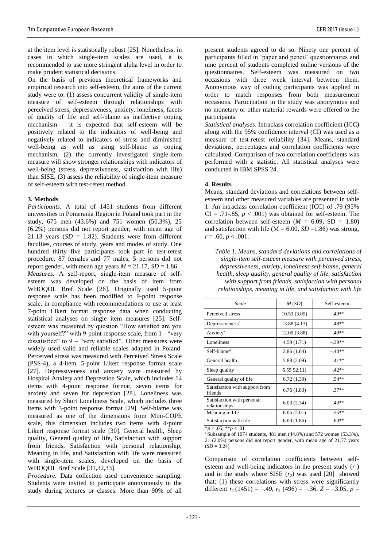at the item level is statistically robust [25]. Nonetheless, in cases in which single-item scales are used, it is recommended to use more stringent alpha level in order to make prudent statistical decisions.

On the basis of previous theoretical frameworks and empirical research into self-esteem, the aims of the current study were to: (1) assess concurrent validity of single-item measure of self-esteem through relationships with perceived stress, depressiveness, anxiety, loneliness, facets of quality of life and self-blame as ineffective coping mechanism – it is expected that self-esteem will be positively related to the indicators of well-being and negatively related to indicators of stress and diminished well-being as well as using self-blame as coping mechanism, (2) the currently investigated single-item measure will show stronger relationships with indicators of well-being (stress, depressiveness, satisfaction with life) than SISE; (3) assess the reliability of single-item measure of self-esteem with test-retest method.

#### **3. Methods**

*Participants*. A total of 1451 students from different universities in Pomerania Region in Poland took part in the study, 675 men (43.6%) and 751 women (50.3%), 25 (6.2%) persons did not report gender, with mean age of 21.13 years  $(SD = 1.82)$ . Students were from different faculties, courses of study, years and modes of study. One hundred thirty five participants took part in test-retest procedure, 87 females and 77 males, 5 persons did not report gender, with mean age years  $M = 21.17$ ,  $SD = 1.86$ . *Measures*. A self-report, single-item measure of selfesteem was developed on the basis of item from WHOQOL Bref Scale [26]. Originally used 5-point response scale has been modified to 9-point response scale, in compliance with recommendations to use at least 7-point Likert format response data when conducting statistical analyses on single item measures [25]. Selfesteem was measured by question "How satisfied are you with yourself?" with 9-point response scale, from 1 - "very" dissatisfied" to  $9 -$  "very satisfied". Other measures were widely used valid and reliable scales adapted in Poland. Perceived stress was measured with Perceived Stress Scale (PSS-4), a 4-item, 5-point Likert response format scale [27]. Depressiveness and anxiety were measured by Hospital Anxiety and Depression Scale, which includes 14 items with 4-point response format, seven items for anxiety and seven for depression [28]. Loneliness was measured by Short Loneliness Scale*,* which includes three items with 3-point response format [29]. Self-blame was measured as one of the dimensions from Mini-COPE scale, this dimension includes two items with 4-point Likert response format scale [30]. General health, Sleep quality, General quality of life, Satisfaction with support from friends, Satisfaction with personal relationship, Meaning in life, and Satisfaction with life were measured with single-item scales, developed on the basis of WHOQOL Bref Scale [31,32,33].

*Procedure.* Data collection used convenience sampling. Students were invited to participate anonymously in the study during lectures or classes. More than 90% of all

present students agreed to do so. Ninety one percent of participants filled in 'paper and pencil' questionnaires and nine percent of students completed online versions of the questionnaires. Self-esteem was measured on two occasions with three week interval between them. Anonymous way of coding participants was applied in order to match responses from both measurement occasions. Participation in the study was anonymous and no monetary or other material rewards were offered to the participants.

*Statistical analyses*. Intraclass correlation coefficient (ICC) along with the 95% confidence interval (CI) was used as a measure of test-retest reliability [34]. Means, standard deviations, percentages and correlation coefficients were calculated. Comparison of two correlation coefficients was performed with z statistic. All statistical analyses were conducted in IBM SPSS 24.

#### **4. Results**

Means, standard deviations and correlations between selfesteem and other measured variables are presented in table 1. An intraclass correlation coefficient (ICC) of .79 (95%  $CI = .71-.85, p < .001$ ) was obtained for self-esteem. The correlation between self-esteem  $(M = 6.09, SD = 1.80)$ and satisfaction with life ( $M = 6.00$ ,  $SD = 1.86$ ) was strong,  $r = .60, p < .001.$ 

*Table 1. Means, standard deviations and correlations of single-item self-esteem measure with perceived stress, depressiveness, anxiety, loneliness self-blame, general health, sleep quality, general quality of life, satisfaction with support from friends, satisfaction with personal relationships, meaning in life, and satisfaction with life* 

| Scale                                       | M(SD)        | Self-esteem |
|---------------------------------------------|--------------|-------------|
| Perceived stress                            | 10.53(3.05)  | $-49**$     |
| Depressiveness <sup>a</sup>                 | 13.88 (4.13) | $-.48**$    |
| Anxiety <sup>a</sup>                        | 12.00 (3.88) | $-49**$     |
| Loneliness                                  | 4.59 (1.71)  | $-.39**$    |
| Self-blame <sup>a</sup>                     | 2,86(1.64)   | $-.40**$    |
| General health                              | 5.88 (2.09)  | $.41**$     |
| Sleep quality                               | 5.55 92.11)  | $.42**$     |
| General quality of life                     | 6.72(1.39)   | $.54**$     |
| Satisfaction with support from<br>friends   | 6.76(1.83)   | $37**$      |
| Satisfaction with personal<br>relationships | 6.03(2.34)   | $.43**$     |
| Meaning in life                             | 6.05(2.01)   | $.55**$     |
| Satisfaction with life                      | 6.00(1.86)   | $.60**$     |

\**p* < .05; \*\**p* < .01

 $\alpha$ <sup>s</sup>Subsample of 1074 students, 481 men (44.8%) and 572 women (53.3%). 21 (2.0%) persons did not report gender, with mean age of 21.77 years  $(SD = 3.24)$ 

Comparison of correlation coefficients between selfesteem and well-being indicators in the present study  $(r_1)$ and in the study where SISE  $(r_2)$  was used [20] showed that: (1) these correlations with stress were significantly different  $r_1$  (1451) = -.49,  $r_2$  (496) = -.36,  $Z = -3.05$ ,  $p =$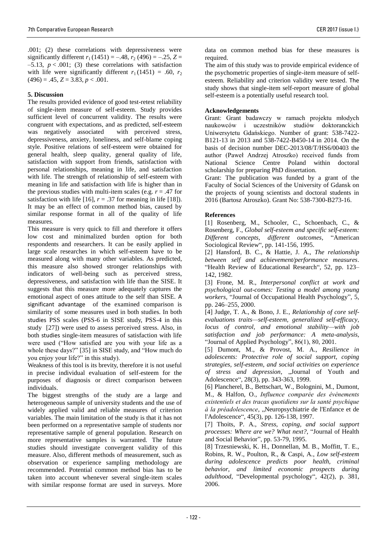.001; (2) these correlations with depressiveness were significantly different  $r_1$  (1451) = –.48,  $r_2$  (496) = –.25, Z =  $-5.13$ ,  $p < .001$ ; (3) these correlations with satisfaction with life were significantly different  $r_1$  (1451) = .60,  $r_2$  $(496) = .45, Z = 3.83, p < .001.$ 

#### **5. Discussion**

The results provided evidence of good test-retest reliability of single-item measure of self-esteem. Study provides sufficient level of concurrent validity. The results were congruent with expectations, and as predicted, self-esteem<br>was negatively associated with perceived stress, was negatively associated depressiveness, anxiety, loneliness, and self-blame coping style. Positive relations of self-esteem were obtained for general health, sleep quality, general quality of life, satisfaction with support from friends, satisfaction with personal relationships, meaning in life, and satisfaction with life. The strength of relationship of self-esteem with meaning in life and satisfaction with life is higher than in the previous studies with multi-item scales (e.g.  $r = .47$  for satisfaction with life [16],  $r = .37$  for meaning in life [18]). It may be an effect of common method bias, caused by similar response format in all of the quality of life measures.

This measure is very quick to fill and therefore it offers low cost and minimalized burden option for both respondents and researchers. It can be easily applied in large scale researches in which self-esteem have to be measured along with many other variables. As predicted, this measure also showed stronger relationships with indicators of well-being such as perceived stress, depressiveness, and satisfaction with life than the SISE. It suggests that this measure more adequately captures the emotional aspect of ones attitude to the self than SISE. A significant advantage of the examined comparison is similarity of some measures used in both studies. In both studies PSS scales (PSS-6 in SISE study, PSS-4 in this study [27]) were used to assess perceived stress. Also, in both studies single-item measures of satisfaction with life were used ("How satisfied are you with your life as a whole these days?" [35] in SISE study, and "How much do you enjoy your life?" in this study).

Weakness of this tool is its brevity, therefore it is not useful in precise individual evaluation of self-esteem for the purposes of diagnosis or direct comparison between individuals.

The biggest strengths of the study are a large and heterogeneous sample of university students and the use of widely applied valid and reliable measures of criterion variables. The main limitation of the study is that it has not been performed on a representative sample of students nor representative sample of general population. Research on more representative samples is warranted. The future studies should investigate convergent validity of this measure. Also, different methods of measurement, such as observation or experience sampling methodology are recommended. Potential common method bias has to be taken into account whenever several single-item scales with similar response format are used in surveys. More data on common method bias for these measures is required.

The aim of this study was to provide empirical evidence of the psychometric properties of single-item measure of selfesteem. Reliability and criterion validity were tested. The study shows that single-item self-report measure of global self-esteem is a potentially useful research tool.

#### **Acknowledgements**

Grant: Grant badawczy w ramach projektu młodych naukowców i uczestników studiów doktoranckich Uniwersytetu Gdańskiego. Number of grant: 538-7422- B121-13 in 2013 and 538-7422-B450-14 in 2014. On the basis of decision number DEC-2013/08/T/HS6/00403 the author (Paweł Andrzej Atroszko) received funds from National Science Centre Poland within doctoral scholarship for preparing PhD dissertation.

Grant: The publication was funded by a grant of the Faculty of Social Sciences of the University of Gdansk on the projects of young scientists and doctoral students in 2016 (Bartosz Atroszko). Grant No: 538-7300-B273-16.

#### **References**

[1] Rosenberg, M., Schooler, C., Schoenbach, C., & Rosenberg, F., *Global self-esteem and specific self-esteem: Different concepts, different outcomes*, "American Sociological Review", pp. 141-156, 1995.

[2] Hansford, B. C., & Hattie, J. A., *The relationship between self and achievement/performance measures*. "Health Review of Educational Research", 52, pp. 123– 142, 1982.

[3] Frone, M. R., *Interpersonal conflict at work and psychological out-comes: Testing a model among young workers*, "Journal of Occupational Health Psychology", 5, pp. 246–255, 2000.

[4] Judge, T. A., & Bono, J. E., *Relationship of core selfevaluations traits—self-esteem, generalized self-efficacy, locus of control, and emotional stability—with job satisfaction and job performance: A meta-analysis*, "Journal of Applied Psychology", 86(1), 80, 2001.

[5] Dumont, M., & Provost, M. A., *Resilience in adolescents: Protective role of social support, coping strategies, self-esteem, and social activities on experience of stress and depression*, "Journal of Youth and Adolescence", 28(3), pp. 343-363, 1999.

[6] Plancherel, B., Bettschart, W., Bolognini, M., Dumont, M., & Halfon, O., *Influence comparée des événements existentiels et des tracas quotidiens sur la santé psychique à la préadolescence*, "Neuropsychiatrie de l'Enfance et de l'Adolescence", 45(3), pp. 126-138, 1997.

[7] Thoits, P. A., *Stress, coping, and social support processes: Where are we? What next?*, "Journal of Health and Social Behavior", pp. 53-79, 1995.

[8] Trzesniewski, K. H., Donnellan, M. B., Moffitt, T. E., Robins, R. W., Poulton, R., & Caspi, A., *Low self-esteem during adolescence predicts poor health, criminal behavior, and limited economic prospects during adulthood*, "Developmental psychology", 42(2), p. 381, 2006.